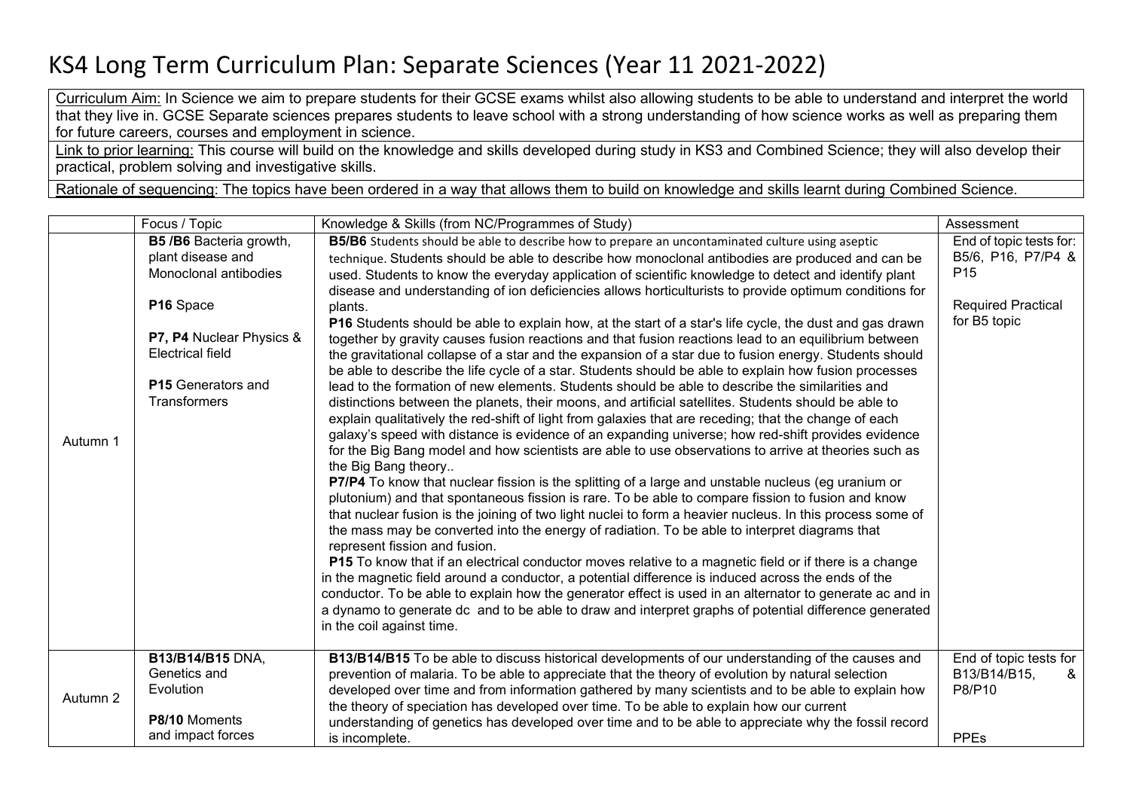## KS4 Long Term Curriculum Plan: Separate Sciences (Year 11 2021-2022)

Curriculum Aim: In Science we aim to prepare students for their GCSE exams whilst also allowing students to be able to understand and interpret the world that they live in. GCSE Separate sciences prepares students to leave school with a strong understanding of how science works as well as preparing them for future careers, courses and employment in science.

Link to prior learning: This course will build on the knowledge and skills developed during study in KS3 and Combined Science; they will also develop their practical, problem solving and investigative skills.

Rationale of sequencing: The topics have been ordered in a way that allows them to build on knowledge and skills learnt during Combined Science.

|          | Focus / Topic                                                                                                                                                                                  | Knowledge & Skills (from NC/Programmes of Study)                                                                                                                                                                                                                                                                                                                                                                                                                                                                                                                                                                                                                                                                                                                                                                                                                                                                                                                                                                                                                                                                                                                                                                                                                                                                                                                                                                                                                                                                                                                                                                                                                                                                                                                                                                                                                                                                                                                                                                                                                                                                                                                                                                                                                                                                                                                           | Assessment                                                                                                    |
|----------|------------------------------------------------------------------------------------------------------------------------------------------------------------------------------------------------|----------------------------------------------------------------------------------------------------------------------------------------------------------------------------------------------------------------------------------------------------------------------------------------------------------------------------------------------------------------------------------------------------------------------------------------------------------------------------------------------------------------------------------------------------------------------------------------------------------------------------------------------------------------------------------------------------------------------------------------------------------------------------------------------------------------------------------------------------------------------------------------------------------------------------------------------------------------------------------------------------------------------------------------------------------------------------------------------------------------------------------------------------------------------------------------------------------------------------------------------------------------------------------------------------------------------------------------------------------------------------------------------------------------------------------------------------------------------------------------------------------------------------------------------------------------------------------------------------------------------------------------------------------------------------------------------------------------------------------------------------------------------------------------------------------------------------------------------------------------------------------------------------------------------------------------------------------------------------------------------------------------------------------------------------------------------------------------------------------------------------------------------------------------------------------------------------------------------------------------------------------------------------------------------------------------------------------------------------------------------------|---------------------------------------------------------------------------------------------------------------|
| Autumn 1 | B5 / B6 Bacteria growth,<br>plant disease and<br>Monoclonal antibodies<br>P16 Space<br>P7, P4 Nuclear Physics &<br><b>Electrical field</b><br><b>P15</b> Generators and<br><b>Transformers</b> | B5/B6 Students should be able to describe how to prepare an uncontaminated culture using aseptic<br>technique. Students should be able to describe how monoclonal antibodies are produced and can be<br>used. Students to know the everyday application of scientific knowledge to detect and identify plant<br>disease and understanding of ion deficiencies allows horticulturists to provide optimum conditions for<br>plants.<br>P16 Students should be able to explain how, at the start of a star's life cycle, the dust and gas drawn<br>together by gravity causes fusion reactions and that fusion reactions lead to an equilibrium between<br>the gravitational collapse of a star and the expansion of a star due to fusion energy. Students should<br>be able to describe the life cycle of a star. Students should be able to explain how fusion processes<br>lead to the formation of new elements. Students should be able to describe the similarities and<br>distinctions between the planets, their moons, and artificial satellites. Students should be able to<br>explain qualitatively the red-shift of light from galaxies that are receding; that the change of each<br>galaxy's speed with distance is evidence of an expanding universe; how red-shift provides evidence<br>for the Big Bang model and how scientists are able to use observations to arrive at theories such as<br>the Big Bang theory<br><b>P7/P4</b> To know that nuclear fission is the splitting of a large and unstable nucleus (eg uranium or<br>plutonium) and that spontaneous fission is rare. To be able to compare fission to fusion and know<br>that nuclear fusion is the joining of two light nuclei to form a heavier nucleus. In this process some of<br>the mass may be converted into the energy of radiation. To be able to interpret diagrams that<br>represent fission and fusion.<br><b>P15</b> To know that if an electrical conductor moves relative to a magnetic field or if there is a change<br>in the magnetic field around a conductor, a potential difference is induced across the ends of the<br>conductor. To be able to explain how the generator effect is used in an alternator to generate ac and in<br>a dynamo to generate dc and to be able to draw and interpret graphs of potential difference generated<br>in the coil against time. | End of topic tests for:<br>B5/6, P16, P7/P4 &<br>P <sub>15</sub><br><b>Required Practical</b><br>for B5 topic |
| Autumn 2 | <b>B13/B14/B15 DNA,</b><br>Genetics and<br>Evolution<br>P8/10 Moments<br>and impact forces                                                                                                     | B13/B14/B15 To be able to discuss historical developments of our understanding of the causes and<br>prevention of malaria. To be able to appreciate that the theory of evolution by natural selection<br>developed over time and from information gathered by many scientists and to be able to explain how<br>the theory of speciation has developed over time. To be able to explain how our current<br>understanding of genetics has developed over time and to be able to appreciate why the fossil record<br>is incomplete.                                                                                                                                                                                                                                                                                                                                                                                                                                                                                                                                                                                                                                                                                                                                                                                                                                                                                                                                                                                                                                                                                                                                                                                                                                                                                                                                                                                                                                                                                                                                                                                                                                                                                                                                                                                                                                           | End of topic tests for<br>B13/B14/B15,<br>&<br>P8/P10<br><b>PPEs</b>                                          |